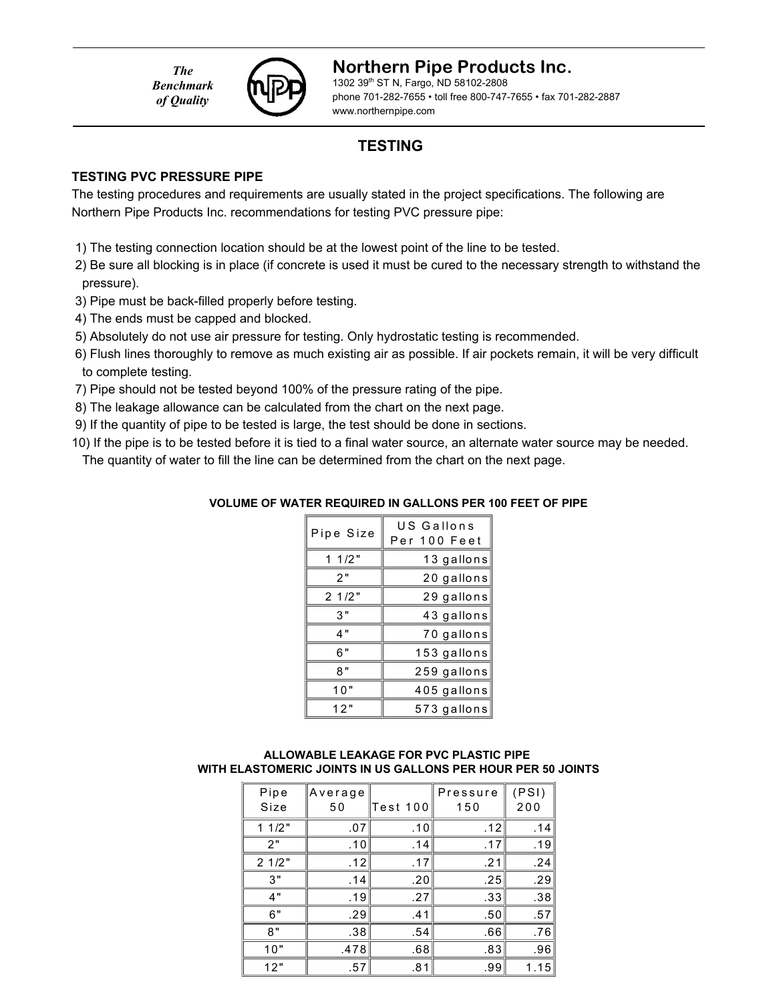*The Benchmark of Quality*



#### **Northern Pipe Products Inc.**

1302 39th ST N, Fargo, ND 58102-2808 phone 701-282-7655 • toll free 800-747-7655 • fax 701-282-2887 www.northernpipe.com

## **TESTING**

#### **TESTING PVC PRESSURE PIPE**

The testing procedures and requirements are usually stated in the project specifications. The following are Northern Pipe Products Inc. recommendations for testing PVC pressure pipe:

- 1) The testing connection location should be at the lowest point of the line to be tested.
- 2) Be sure all blocking is in place (if concrete is used it must be cured to the necessary strength to withstand the pressure).
- 3) Pipe must be back-filled properly before testing.
- 4) The ends must be capped and blocked.
- 5) Absolutely do not use air pressure for testing. Only hydrostatic testing is recommended.
- 6) Flush lines thoroughly to remove as much existing air as possible. If air pockets remain, it will be very difficult to complete testing.
- 7) Pipe should not be tested beyond 100% of the pressure rating of the pipe.
- 8) The leakage allowance can be calculated from the chart on the next page.
- 9) If the quantity of pipe to be tested is large, the test should be done in sections.
- 10) If the pipe is to be tested before it is tied to a final water source, an alternate water source may be needed. The quantity of water to fill the line can be determined from the chart on the next page.

# **VOLUME OF WATER REQUIRED IN GALLONS PER 100 FEET OF PIPE**

| Pipe Size | US Gallons<br>Per 100 Feet |
|-----------|----------------------------|
| 11/2"     | 13 gallons                 |
| 2"        | 20 gallons                 |
| 21/2"     | 29 gallons                 |
| 3"        | 43 gallons                 |
| 4"        | 70 gallons                 |
| 6"        | 153 gallons                |
| 8"        | 259 gallons                |
| 10"       | 405 gallons                |
| 12"       | 573 gallons                |

#### **ALLOWABLE LEAKAGE FOR PVC PLASTIC PIPE WITH ELASTOMERIC JOINTS IN US GALLONS PER HOUR PER 50 JOINTS**

| Pipe<br>Size | Average<br>50 | Test 100 | Pressure<br>150 | (PSI)<br>200 |
|--------------|---------------|----------|-----------------|--------------|
| 11/2"        | .07           | .10      | .12             | .14          |
| 2"           | .10           | .14      | .17             | .19          |
| 21/2"        | .12           | .17      | .21             | .24          |
| 3"           | .14           | .20      | .25             | .29          |
| 4"           | .19           | .27      | .33             | .38          |
| 6"           | .29           | .41      | .50             | .57          |
| 8"           | .38           | .54      | .66             | .76          |
| 10"          | .478          | .68      | .83             | .96          |
| 12"          | .57           | .81      | .99             | 1.15         |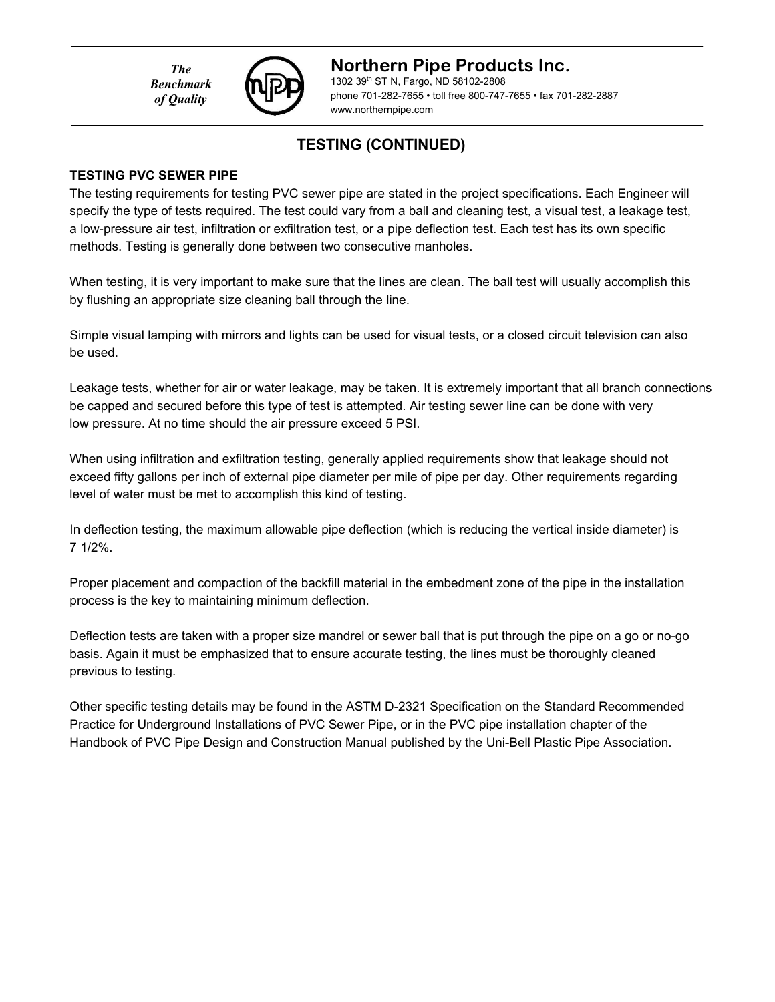*The Benchmark of Quality*



### **Northern Pipe Products Inc.**

1302 39th ST N, Fargo, ND 58102-2808 phone 701-282-7655 • toll free 800-747-7655 • fax 701-282-2887 www.northernpipe.com

## **TESTING (CONTINUED)**

#### **TESTING PVC SEWER PIPE**

The testing requirements for testing PVC sewer pipe are stated in the project specifications. Each Engineer will specify the type of tests required. The test could vary from a ball and cleaning test, a visual test, a leakage test, a low-pressure air test, infiltration or exfiltration test, or a pipe deflection test. Each test has its own specific methods. Testing is generally done between two consecutive manholes.

When testing, it is very important to make sure that the lines are clean. The ball test will usually accomplish this by flushing an appropriate size cleaning ball through the line.

Simple visual lamping with mirrors and lights can be used for visual tests, or a closed circuit television can also be used.

Leakage tests, whether for air or water leakage, may be taken. It is extremely important that all branch connections be capped and secured before this type of test is attempted. Air testing sewer line can be done with very low pressure. At no time should the air pressure exceed 5 PSI.

When using infiltration and exfiltration testing, generally applied requirements show that leakage should not exceed fifty gallons per inch of external pipe diameter per mile of pipe per day. Other requirements regarding level of water must be met to accomplish this kind of testing.

In deflection testing, the maximum allowable pipe deflection (which is reducing the vertical inside diameter) is 7 1/2%.

Proper placement and compaction of the backfill material in the embedment zone of the pipe in the installation process is the key to maintaining minimum deflection.

Deflection tests are taken with a proper size mandrel or sewer ball that is put through the pipe on a go or no-go basis. Again it must be emphasized that to ensure accurate testing, the lines must be thoroughly cleaned previous to testing.

Other specific testing details may be found in the ASTM D-2321 Specification on the Standard Recommended Practice for Underground Installations of PVC Sewer Pipe, or in the PVC pipe installation chapter of the Handbook of PVC Pipe Design and Construction Manual published by the Uni-Bell Plastic Pipe Association.